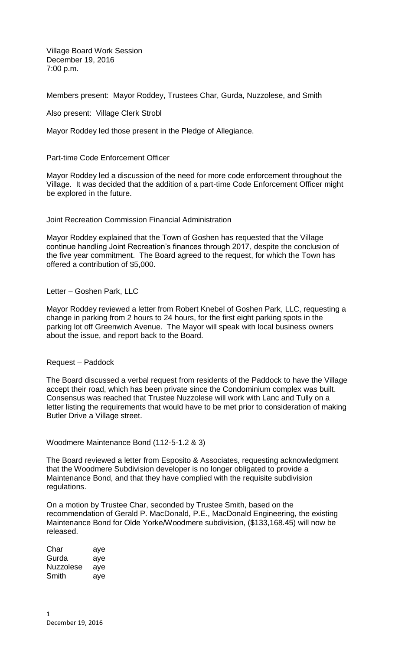Village Board Work Session December 19, 2016 7:00 p.m.

Members present: Mayor Roddey, Trustees Char, Gurda, Nuzzolese, and Smith

Also present: Village Clerk Strobl

Mayor Roddey led those present in the Pledge of Allegiance.

Part-time Code Enforcement Officer

Mayor Roddey led a discussion of the need for more code enforcement throughout the Village. It was decided that the addition of a part-time Code Enforcement Officer might be explored in the future.

Joint Recreation Commission Financial Administration

Mayor Roddey explained that the Town of Goshen has requested that the Village continue handling Joint Recreation's finances through 2017, despite the conclusion of the five year commitment. The Board agreed to the request, for which the Town has offered a contribution of \$5,000.

Letter – Goshen Park, LLC

Mayor Roddey reviewed a letter from Robert Knebel of Goshen Park, LLC, requesting a change in parking from 2 hours to 24 hours, for the first eight parking spots in the parking lot off Greenwich Avenue. The Mayor will speak with local business owners about the issue, and report back to the Board.

Request – Paddock

The Board discussed a verbal request from residents of the Paddock to have the Village accept their road, which has been private since the Condominium complex was built. Consensus was reached that Trustee Nuzzolese will work with Lanc and Tully on a letter listing the requirements that would have to be met prior to consideration of making Butler Drive a Village street.

Woodmere Maintenance Bond (112-5-1.2 & 3)

The Board reviewed a letter from Esposito & Associates, requesting acknowledgment that the Woodmere Subdivision developer is no longer obligated to provide a Maintenance Bond, and that they have complied with the requisite subdivision regulations.

On a motion by Trustee Char, seconded by Trustee Smith, based on the recommendation of Gerald P. MacDonald, P.E., MacDonald Engineering, the existing Maintenance Bond for Olde Yorke/Woodmere subdivision, (\$133,168.45) will now be released.

| Char             | aye |
|------------------|-----|
| Gurda            | aye |
| <b>Nuzzolese</b> | aye |
| Smith            | aye |